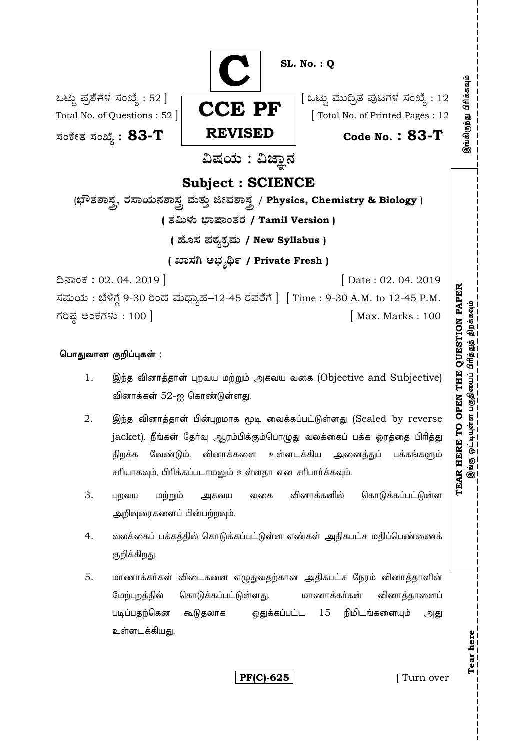

## பொதுவான குறிப்புகள் :

- 1. இந்த வினாத்தாள் புறவய மற்றும் அகவய வகை (Objective and Subjective) வினாக்கள்  $52$ -ஐ கொண்டுள்ளது.
- 2. இந்த வினாத்தாள் பின்புறமாக மூடி வைக்கப்பட்டுள்ளது (Sealed by reverse jacket). நீங்கள் தேர்வு ஆரம்பிக்கும்பொழுது வலக்கைப் பக்க ஓரத்தை பிரித்து திறக்க வேண்டும். வினாக்களை உள்ளடக்கிய அனைத்துப் பக்கங்களும் சரியாகவும், பிரிக்கப்படாமலும் உள்ளதா என சரிபார்க்கவும்.
- 3. புறவய மற்றும் அகவய வகை வினாக்களில் கொடுக்கப்பட்டுள்ள அறிவுரைகளைப் பின்பற்றவும்.
- 4. வலக்கைப் பக்கத்தில் கொடுக்கப்பட்டுள்ள எண்கள் அதிகபட்ச மதிப்பெண்ணைக் குறிக்கிறது.
- 5. மாணாக்கர்கள் விடைகளை எழுதுவதற்கான அதிகபட்ச நேரம் வினாத்தாளின் ேமற்புறத்தில் கொடுக்கப்பட்டுள்ளது, மாணாக்கர்கள் வினாத்தாளைப் படிப்பதற்கென கூடுதலாக ஒதுக்கப்பட்ட 15 நிமிடங்களையும் அது உள்ளடக்கியது

**PF(C)-625** [ Turn over

**Tear here** 

Tear here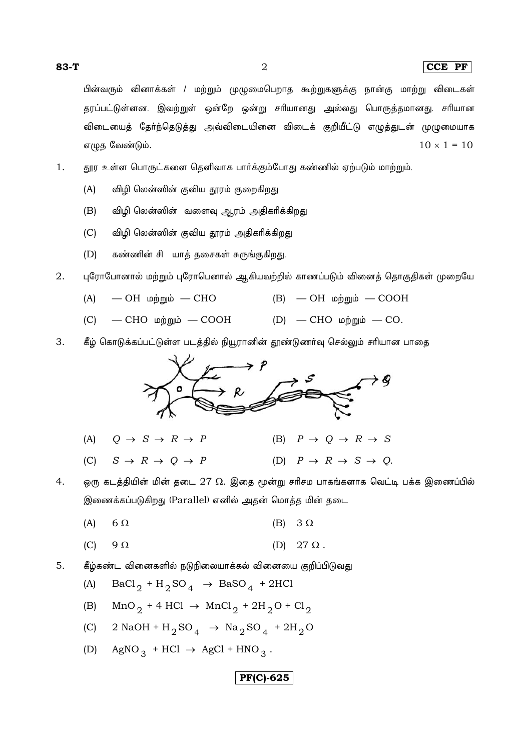$(A)$ 

 $\overline{2}$ 

#### $|CCE$  PF

பின்வரும் வினாக்கள் / மற்றும் முழுமைபெறாத கூற்றுகளுக்கு நான்கு மாற்று விடைகள் தரப்பட்டுள்ளன. இவற்றுள் ஒன்றே ஒன்று சரியானது அல்லது பொருத்தமானது. சரியான விடையைத் தேர்ந்தெடுத்து அவ்விடையினை விடைக் குறியீட்டு எழுத்துடன் முழுமையாக  $10 \times 1 = 10$ எழுத வேண்டும்.

- 1. தூர உள்ள பொருட்களை தெளிவாக பார்க்கும்போது கண்ணில் ஏற்படும் மாற்றும்.
	- $(A)$ விழி லென்ஸின் குவிய தூரம் குறைகிறது
	- $(B)$ விழி லென்ஸின் வளைவு ஆரம் அதிகரிக்கிறது
	- விழி லென்ஸின் குவிய தூரம் அதிகரிக்கிறது  $(C)$
	- $(D)$ கண்ணின் சி யாத் தசைகள் சுருங்குகிறது.
- 2. புரோபோனால் மற்றும் புரோபெனால் ஆகியவற்றில் காணப்படும் வினைத் தொகுதிகள் முறையே
	- $(A)$  $-$  ОН ир при  $-$  СНО  $(B)$   $-$  OH  $\omega$ ற்றும்  $-$  COOH
	- СНО и $\dot{p}$ றும் СООН (D) СНО и $\dot{p}$ றும் СО.  $(C)$
- 3. கீழ் கொடுக்கப்பட்டுள்ள படத்தில் நியூரானின் தூண்டுணர்வு செல்லும் சரியான பாதை



 $S \rightarrow R \rightarrow Q \rightarrow P$ (D)  $P \rightarrow R \rightarrow S \rightarrow O$ .  $(C)$ 

4. ஒரு கடத்தியின் மின் தடை  $27 \Omega$ . இதை மூன்று சரிசம பாகங்களாக வெட்டி பக்க இணைப்பில் இணைக்கப்படுகிறது (Parallel) எனில் அதன் மொத்த மின் தடை

- $(A)$  $6\Omega$ (B)  $3 \Omega$
- $(C)$  $9\Omega$ (D)  $27 \Omega$ .

$$
(A) \quad \text{BaCl}_2 + \text{H}_2\text{SO}_4 \rightarrow \text{BaSO}_4 + 2\text{HCl}
$$

- $MnO_2$  + 4 HCl  $\rightarrow$  MnCl<sub>2</sub> + 2H<sub>2</sub>O + Cl<sub>2</sub>  $(B)$
- $2$  NaOH + H<sub>2</sub>SO<sub>4</sub>  $\rightarrow$  Na<sub>2</sub>SO<sub>4</sub> + 2H<sub>2</sub>O  $(C)$
- AgNO<sub>3</sub> + HCl  $\rightarrow$  AgCl + HNO<sub>3</sub>.  $(D)$

# $|PF(C)-625|$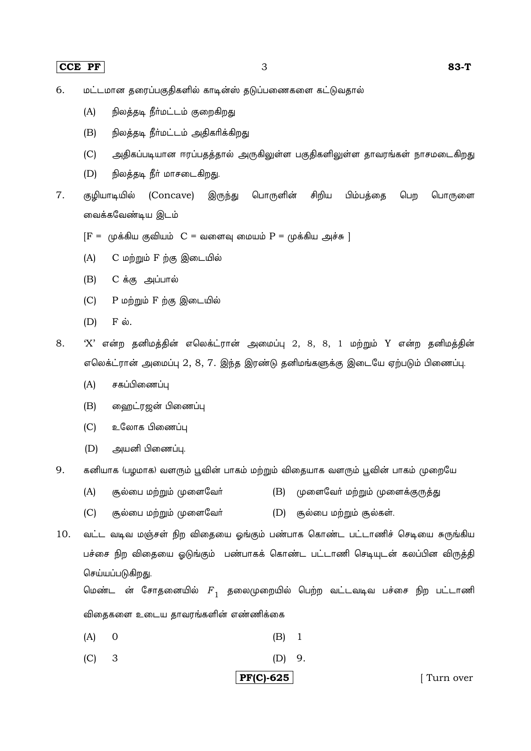- மட்டமான தரைப்பகுதிகளில் காடின்ஸ் தடுப்பணைகளை கட்டுவதால் 6.
	- $(A)$ நிலத்தடி நீா்மட்டம் குறைகிறது
	- $(B)$ நிலத்தடி நீா்மட்டம் அதிகரிக்கிறது
	- $(C)$ அதிகப்படியான ஈரப்பதத்தால் அருகிலுள்ள பகுதிகளிலுள்ள தாவரங்கள் நாசமடைகிறது
	- $(D)$ நிலத்தடி நீர் மாசடைகிறது.
- $\overline{7}$ . குழியாடியில் (Concave) இருந்து பொருளின் சிறிய பிம்பத்தை பெற பொருளை வைக்கவேண்டிய இடம்
	- $[F = (p\ddot{\sigma}\ddot{\sigma}\ddot{\sigma})]$ யுக்கிய குவியம்  $C = \omega\ddot{\sigma}\ddot{\sigma}\dot{\sigma}$  மையம்  $P = (p\ddot{\sigma}\ddot{\sigma}\ddot{\sigma})$
	- $(A)$ C மற்றும் F ற்கு இடையில்
	- C க்கு அப்பால்  $(B)$
	- P மற்றும் F ற்கு இடையில்  $(C)$
	- $(D)$  $F \dot{\omega}$ .
- 8.  $X'$  என்ற தனிமத்தின் எலெக்ட்ரான் அமைப்பு 2, 8, 8, 1 மற்றும் Y என்ற தனிமத்தின் எலெக்ட்ரான் அமைப்பு 2, 8, 7. இந்த இரண்டு தனிமங்களுக்கு இடையே ஏற்படும் பிணைப்பு.
	- $(A)$ சகப்பிணைப்பு
	- $(B)$ ஹைட்ரஜன் பிணைப்பு
	- $(C)$ உலோக பிணைப்பு
	- $(D)$ அயனி பிணைப்பு.
- 9. கனியாக (பழமாக) வளரும் பூவின் பாகம் மற்றும் விதையாக வளரும் பூவின் பாகம் முறையே
	- $(A)$ சூல்பை மற்றும் முளைவோ் (B) முளைவேர் மற்றும் முளைக்குருத்து
	- சூல்பை மற்றும் முளைவேர்  $(D)$  சூல்பை மற்றும் சூல்கள்.  $(C)$
- 10. வட்ட வடிவ மஞ்சள் நிற விதையை ஓங்கும் பண்பாக கொண்ட பட்டாணிச் செடியை சுருங்கிய பச்சை நிற விதையை ஓடுங்கும் பண்பாகக் கொண்ட பட்டாணி செடியுடன் கலப்பின விருத்தி செய்யப்படுகிறது.

மெண்ட ன் சோதனையில்  $F_1$  தலைமுறையில் பெற்ற வட்டவடிவ பச்சை நிற பட்டாணி விதைகளை உடைய தாவரங்களின் எண்ணிக்கை

- $(A)$  $\overline{0}$  $(B)$  $\overline{1}$
- $(C)$  $\overline{3}$  $(D)$ 9.

# **PF(C)-625**

[Turn over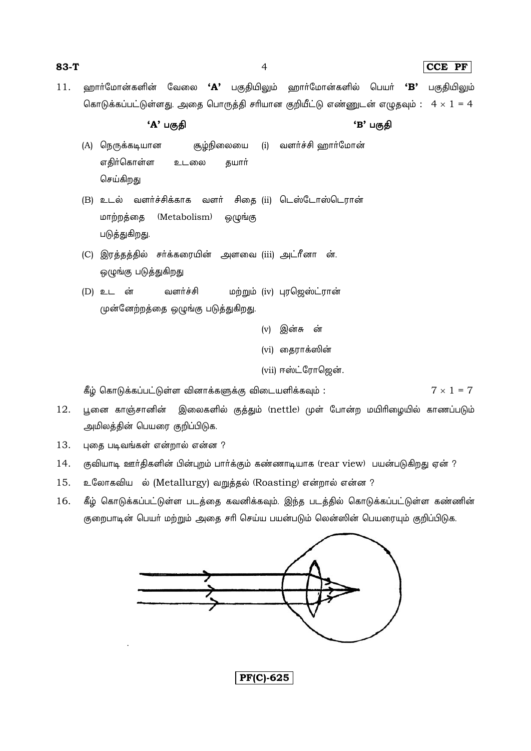$\overline{4}$ 

### $|CCE$  PF

றைார்மோன்களின் வேலை **'A'** பகுதியிலும் றைார்மோன்களில் பெயர் **'B'**  $11.$ பகுதியிலும் கொடுக்கப்பட்டுள்ளது. அதை பொருத்தி சரியான குறியீட்டு எண்ணுடன் எழுதவும் :  $4 \times 1 = 4$ 

'A' பகுதி

'B' பகுகி

- (A) நெருக்கடியான சூழ்நிலையை (i) வளர்ச்சி ஹார்மோன் எதிர்கொள்ள உடலை தயார் செய்கிறது
- (B) உடல் வளர்ச்சிக்காக வளர் சிதை (ii) டெஸ்டோஸ்டெரான் மாற்றத்தை (Metabolism) ஒழுங்கு படுத்துகிறது.
- (C) இரத்தத்தில் சர்க்கரையின் அளவை (iii) அட்ரீனா ன். ஒழுங்கு படுத்துகிறது
- (D) உடன் வளர்ச்சி மற்றும் (iv) புரஜெஸ்ட்ரான் முன்னேற்றத்தை ஒழுங்கு படுத்துகிறது.

(v) இன்சு ன் (vi) தைராக்ஸின்

(vii) ஈஸ்ட்ரோஜென்.

கீழ் கொடுக்கப்பட்டுள்ள வினாக்களுக்கு விடையளிக்கவும் :  $7 \times 1 = 7$ 

- 12. பூனை காஞ்சானின் இலைகளில் குத்தும் (nettle) முள் போன்ற மயிரிழையில் காணப்படும் அமிலத்தின் பெயரை குறிப்பிடுக.
- 13. புதை படிவங்கள் என்றால் என்ன ?
- $14.$ குவியாடி ஊர்திகளின் பின்புறம் பார்க்கும் கண்ணாடியாக (rear view) பயன்படுகிறது ஏன் ?
- 15. உலோகவிய ல் (Metallurgy) வறுத்தல் (Roasting) என்றால் என்ன ?
- கீழ் கொடுக்கப்பட்டுள்ள படத்தை கவனிக்கவும். இந்த படத்தில் கொடுக்கப்பட்டுள்ள கண்ணின் 16. குறைபாடின் பெயர் மற்றும் அதை சரி செய்ய பயன்படும் லென்ஸின் பெயரையும் குறிப்பிடுக.

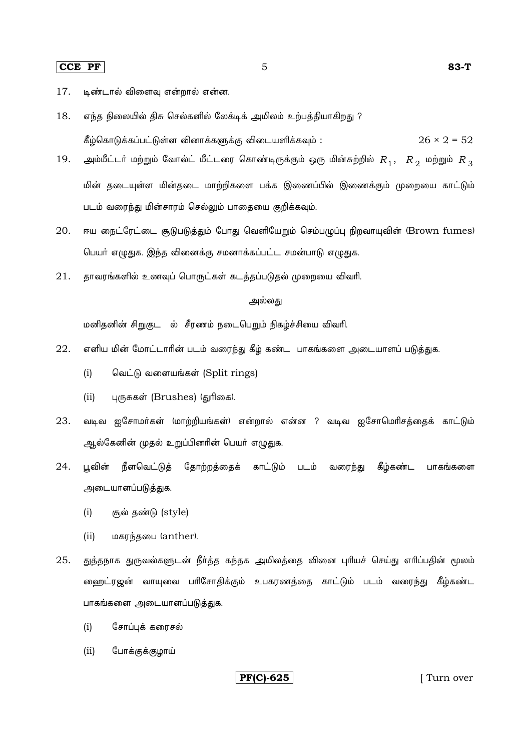- 17. டிண்டால் விளைவு என்றால் என்ன.
- 18. எந்த நிலையில் திசு செல்களில் லேக்டிக் அமிலம் உற்பத்தியாகிறது ? கீழ்கொடுக்கப்பட்டுள்ள வினாக்களுக்கு விடையளிக்கவும் :  $26 \times 2 = 52$

5

- அம்மீட்டர் மற்றும் வோல்ட் மீட்டரை கொண்டிருக்கும் ஒரு மின்சுற்றில்  $R_{\,1},\,\,\,R_{\,2}\,$  மற்றும்  $R_{\,3}$ 19. மின் தடையுள்ள மின்தடை மாற்றிகளை பக்க இணைப்பில் இணைக்கும் முறையை காட்டும் படம் வரைந்து மின்சாரம் செல்லும் பாதையை குறிக்கவும்.
- ஈய நைட்ரேட்டை சூடுபடுத்தும் போது வெளியேறும் செம்பமுப்பு நிறவாயுவின் (Brown fumes) 20. பெயர் எழுதுக. இந்த வினைக்கு சமனாக்கப்பட்ட சமன்பாடு எழுதுக.
- தாவரங்களில் உணவுப் பொருட்கள் கடத்தப்படுதல் முறையை விவரி. 21.

# அல்லகு

மனிதனின் சிறுகுட ல் சீரணம் நடைபெறும் நிகழ்ச்சியை விவரி.

- 22. எளிய மின் மோட்டாரின் படம் வரைந்து கீழ் கண்ட பாகங்களை அடையாளப் படுத்துக.
	- $(i)$ வெட்டு வளையங்கள் (Split rings)
	- $(ii)$ புருசுகள் (Brushes) (துரிகை).
- 23. வடிவ ஐசோமா்கள் (மாற்றியங்கள்) என்றால் என்ன ? வடிவ ஐசோமொிசத்தைக் காட்டும் ஆல்கேனின் முதல் உறுப்பினரின் பெயர் எழுதுக.
- $24$ பவின் நீளவெட்டுத் தோற்றத்தைக் காட்டும் படம் வரைந்து கீழ்கண்ட பாகங்களை அடையாளப்படுத்துக.
	- $(i)$ சூல் தண்டு (style)
	- $(ii)$ மகரந்தபை (anther).
- 25. துத்தநாக துருவல்களுடன் நீர்த்த கந்தக அமிலத்தை வினை புரியச் செய்து எரிப்பதின் மூலம் ஹைட்ரஜன் வாயுவை பரிசோதிக்கும் உபகரணத்தை காட்டும் படம் வரைந்து கீழ்கண்ட பாகங்களை அடையாளப்படுத்துக.
	- சோப்புக் கரைசல்  $(i)$
	- போக்குக்குழாய்  $(ii)$

**PF(C)-625** 

[Turn over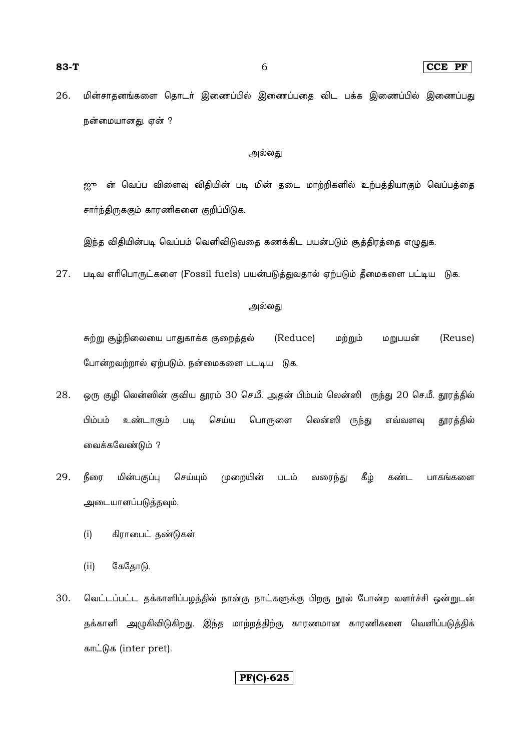#### $|{\bf CCE}\>$  PF  $|$

மின்சாதனங்களை தொடர் இணைப்பில் இணைப்பதை விட பக்க இணைப்பில் இணைப்பது 26. நன்மையானது. ஏன் ?

# அல்லது

ஜு ன் வெப்ப விளைவு விதியின் படி மின் தடை மாற்றிகளில் உற்பத்தியாகும் வெப்பத்தை சாா்ந்திருககும் காரணிகளை குறிப்பிடுக.

இந்த விதியின்படி வெப்பம் வெளிவிடுவதை கணக்கிட பயன்படும் சூத்திரத்தை எழுதுக.

27. படிவ எரிபொருட்களை (Fossil fuels) பயன்படுத்துவதால் ஏற்படும் தீமைகளை பட்டிய டுக.

#### அல்லது

சுற்று சூழ்நிலையை பாதுகாக்க குறைத்தல் (Reduce) மற்றும் மறுபயன் (Reuse) போன்றவற்றால் ஏற்படும். நன்மைகளை படடிய டுக.

- 28. ஒரு குழி லென்ஸின் குவிய தூரம் 30 செ.மீ. அதன் பிம்பம் லென்ஸி ருந்து 20 செ.மீ. தூரத்தில் ம்பம் பொருளை உண்டாகும் செய்ய லென்ஸி ருந்து எவ்வளவு தூரத்தில்  $Llq$ வைக்கவேண்டும் ?
- 29. நீரை மின்பகுப்பு செய்யும் முறையின் கீம் வரைந்து பாகங்களை படம் கண்ட அடையாளப்படுத்தவும்.
	- கிராபைட் தண்டுகள்  $(i)$
	- கேதோடு.  $(ii)$
- 30. வெட்டப்பட்ட தக்காளிப்பழத்தில் நான்கு நாட்களுக்கு பிறகு நூல் போன்ற வளர்ச்சி ஒன்றுடன் தக்காளி அழுகிவிடுகிறது. இந்த மாற்றத்திற்கு காரணமான காரணிகளை வெளிப்படுத்திக் காட்டுக (inter pret).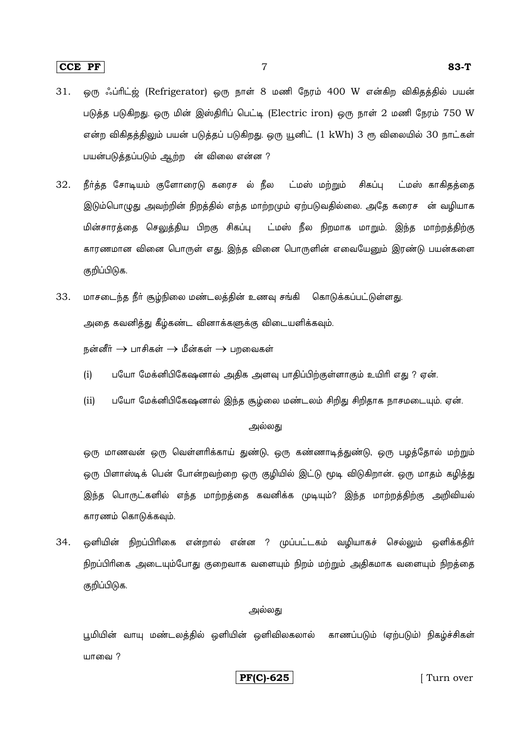# **CCE PF** 7 **83-T**

- 31. ஒரு ஃப்ரிட்ஜ் (Refrigerator) ஒரு நாள் 8 மணி நேரம் 400 W என்கிற விகிதத்தில் பயன் படுத்த படுகிறது. ஒரு மின் இஸ்திரிப் பெட்டி (Electric iron) ஒரு நாள் 2 மணி நேரம்  $750 \, \mathrm{W}$ என்ற விகிதத்திலும் பயன் படுத்தப் படுகிறது. ஒரு யூனிட் (1 kWh) 3 ரூ விலையில் 30 நாட்கள் பயன்படுத்தப்படும் ஆற்ற ன் விலை என்ன ?
- 32. நீர்த்த சோடியம் குளோரைடு கரைச ல் நீல ட்மஸ் மற்றும் சிகப்பு ட்மஸ் காகிதத்தை இடும்பொழுது அவற்றின் நிறத்தில் எந்த மாற்றமும் ஏற்படுவதில்லை. அதே கரைச ன் வழியாக மின்சாரத்தை செலுத்திய பிறகு சிகப்பு ட்மஸ் நீல நிறமாக மாறும். இந்த மாற்றத்திற்கு காரணமான வினை பொருள் எது. இந்த வினை பொருளின் எவையேனும் இரண்டு பயன்களை குறிப்பிடுக.
- 33. மாசடைந்த நீர் சூழ்நிலை மண்டலத்தின் உணவு சங்கி கொடுக்கப்பட்டுள்ளது. அதை கவனித்து கீழ்கண்ட வினாக்களுக்கு விடையளிக்கவும்.

 $\bar{S}$ ங்ணீர்  $\rightarrow$  பாசிகள்  $\rightarrow$  மீன்கள்  $\rightarrow$  பாவைகள்

- (i) பயோ மேக்னிபிகேஷனால் அதிக அளவு பாதிப்பிற்குள்ளாகும் உயிரி எது ? ஏன்.
- (ii) பயோ மேக்னிபிகேஷனால் இந்த சூழ்லை மண்டலம் சிறிது சிறிதாக நாசமடையும். ஏன்.

#### அல்லது

ஒரு மாணவன் ஒரு வெள்ளரிக்காய் துண்டு, ஒரு கண்ணாடித்துண்டு, ஒரு பழத்தோல் மற்றும் ஒரு பிளாஸ்டிக் பென் போன்றவற்றை ஒரு குழியில் இட்டு மூடி விடுகிறான். ஒரு மாதம் கழித்து இந்த பொருட்களில் எந்த மாற்றத்தை கவனிக்க முடியும்? இந்த மாற்றத்திற்கு அறிவியல் காரணம் கொடுக்கவும்.

34. ஓளியின் நிறப்பிரிகை என்றால் என்ன ? முப்பட்டகம் வமியாகச் செல்லும் ஓளிக்ககிர் நிறப்பிரிகை அடையும்போது குறைவாக வளையும் நிறம் மற்றும் அதிகமாக வளையும் நிறத்தை குறிப்பிடுக.

#### ,அல்லகு

டிமியின் வாயு மண்டலத்தில் ஒளியின் ஒளிவிலகலால் காணப்படும் (ஏற்படும்) நிகழ்ச்சிகள்  $U$ பாவை ?

**PF(C)-625** [ Turn over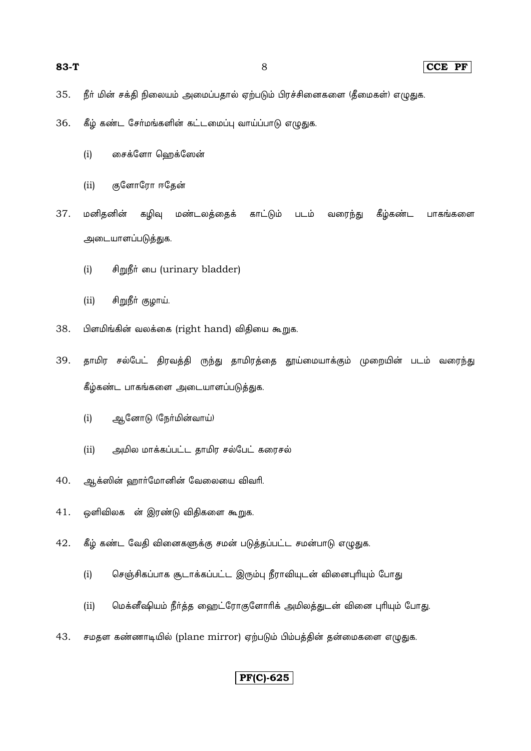CCE PF

- நீர் மின் சக்தி நிலையம் அமைப்பதால் ஏற்படும் பிரச்சினைகளை (தீமைகள்) எழுதுக. 35.
- கீழ் கண்ட சேர்மங்களின் கட்டமைப்பு வாய்ப்பாடு எழுதுக. 36.
	- $(i)$ சைக்ளோ ஹெக்ஸேன்
	- குளோரோ ஈதேன்  $(ii)$

37. மனிதனின் கழிவு மண்டலத்தைக் காட்டும் படம் வரைந்து கீழ்கண்ட பாகங்களை அடையாளப்படுத்துக.

- சிறுநீர் பை (urinary bladder)  $(i)$
- $(ii)$ சிறுநீர் குழாய்.
- 38. பிளமிங்கின் வலக்கை (right hand) விதியை கூறுக.
- தாமிர சல்பேட் திரவத்தி ருந்து தாமிரத்தை தூய்மையாக்கும் முறையின் படம் வரைந்து 39. கீழ்கண்ட பாகங்களை அடையாளப்படுத்துக.
	- $(i)$ ஆனோடு (நேர்மின்வாய்)
	- $(ii)$ அமில மாக்கப்பட்ட தாமிர சல்பேட் கரைசல்
- 40. ஆக்ஸின் ஹார்மோனின் வேலையை விவரி.
- 41. ஒளிவிலக ன் இரண்டு விதிகளை கூறுக.
- கீழ் கண்ட வேதி வினைகளுக்கு சமன் படுத்தப்பட்ட சமன்பாடு எழுதுக. 42.
	- செஞ்சிகப்பாக சூடாக்கப்பட்ட இரும்பு நீராவியுடன் வினைபுரியும் போது  $(i)$
	- மெக்னீஷியம் நீர்த்த ஹைட்ரோகுளோரிக் அமிலத்துடன் வினை புரியும் போது.  $(ii)$
- சமதள கண்ணாடியில் (plane mirror) ஏற்படும் பிம்பத்தின் தன்மைகளை எழுதுக. 43.

# $\overline{\text{PF(C)}$ -625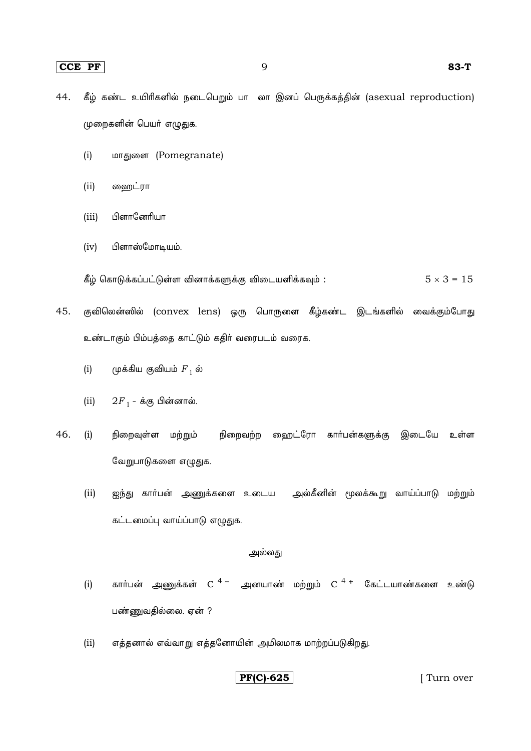- கீழ் கண்ட உயிரிகளில் நடைபெறும் பாதலா இனப் பெருக்கத்தின் (asexual reproduction) 44. முறைகளின் பெயர் எழுதுக.
	- மாதுளை (Pomegranate)  $(i)$
	- $(ii)$ ஹைட்ரா
	- $(iii)$ பிளானேரியா
	- பிளாஸ்மோடியம்.  $(iv)$

கீழ் கொடுக்கப்பட்டுள்ள வினாக்களுக்கு விடையளிக்கவும் :  $5 \times 3 = 15$ 

45. குவிலென்ஸில் (convex lens) ஒரு பொருளை கீழ்கண்ட இடங்களில் வைக்கும்போது உண்டாகும் பிம்பத்தை காட்டும் கதிர் வரைபடம் வரைக.

- $(i)$ முக்கிய குவியம்  $F_1$  ல்
- $2F_1$  க்கு பின்னால்.  $(ii)$
- 46. நிறைவுள்ள மற்றும் நிறைவற்ற வைறட்ரோ கார்பன்களுக்கு இடையே உள்ள  $(i)$ வேறுபாடுகளை எழுதுக.
	- $(ii)$ ஐந்து காா்பன் அணுக்களை உடைய அல்கீனின் மூலக்கூறு வாய்ப்பாடு மற்றும் கட்டமைப்பு வாய்ப்பாடு எழுதுக.

# அல்லது

- காா்பன் அணுக்கள்  $C^{4}$  அனயாண் மற்றும்  $C^{4+}$  கேட்டயாண்களை உண்டு  $(i)$ பண்ணுவதில்லை. ஏன் ?
- எத்தனால் எவ்வாறு எத்தனோயின் அமிலமாக மாற்றப்படுகிறது.  $(ii)$

# $\boxed{\text{PF(C)}-625}$

[Turn over]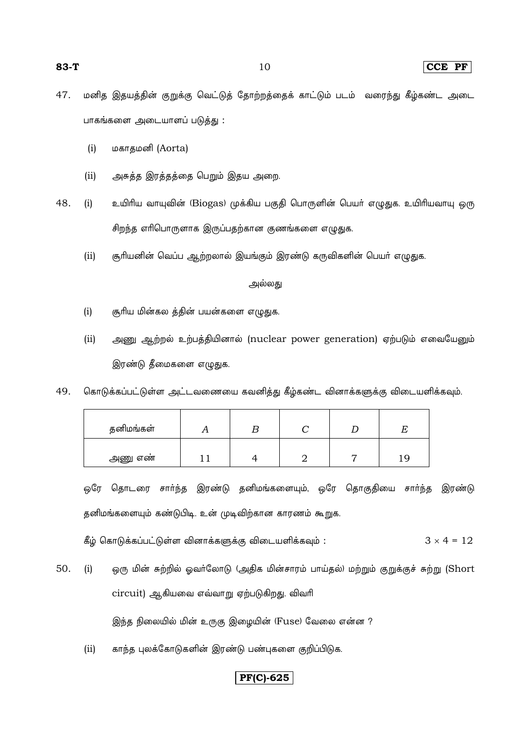- 47. மனித இதயத்தின் குறுக்கு வெட்டுத் தோற்றத்தைக் காட்டும் படம் வரைந்து கீழ்கண்ட அடை பாகங்களை அடையாளப் படுத்து:
	- $(i)$ மகாதமனி (Aorta)
	- அசுத்த இரத்தத்தை பெறும் இதய அறை.  $(ii)$
- 48.  $(i)$ உயிரிய வாயுவின் (Biogas) முக்கிய பகுதி பொருளின் பெயர் எழுதுக. உயிரியவாயு ஒரு சிறந்த எரிபொருளாக இருப்பதற்கான குணங்களை எழுதுக.
	- சூரியனின் வெப்ப ஆற்றலால் இயங்கும் இரண்டு கருவிகளின் பெயர் எழுதுக.  $(ii)$

### அல்லது

- $(i)$ சூரிய மின்கல த்தின் பயன்களை எழுதுக.
- $(ii)$ அணு ஆற்றல் உற்பத்தியினால் (nuclear power generation) ஏற்படும் எவையேனும் இரண்டு தீமைகளை எழுதுக.
- 49. கொடுக்கப்பட்டுள்ள அட்டவணையை கவனித்து கீழ்கண்ட வினாக்களுக்கு விடையளிக்கவும்.

| தனிமங்கள் |  |  |  |
|-----------|--|--|--|
| அணு எண்   |  |  |  |

ஒரே தொடரை சார்ந்த இரண்டு தனிமங்களையும், ஒரே தொகுதியை சார்ந்த இரண்டு தனிமங்களையும் கண்டுபிடி. உன் முடிவிற்கான காரணம் கூறுக.

கீழ் கொடுக்கப்பட்டுள்ள வினாக்களுக்கு விடையளிக்கவும் :  $3 \times 4 = 12$ 

- ஒரு மின் சுற்றில் ஓவா்லோடு (அதிக மின்சாரம் பாய்தல்) மற்றும் குறுக்குச் சுற்று (Short 50.  $(i)$ circuit) ஆகியவை எவ்வாறு ஏற்படுகிறது. விவரி இந்த நிலையில் மின் உருகு இழையின் (Fuse) வேலை என்ன ?
	- $(ii)$ காந்த புலக்கோடுகளின் இரண்டு பண்புகளை குறிப்பிடுக.